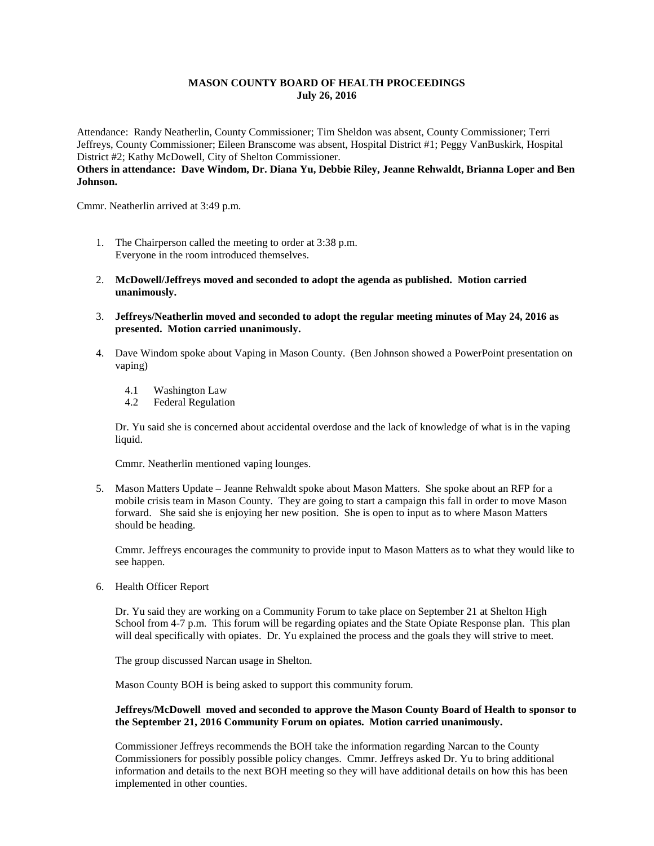## **MASON COUNTY BOARD OF HEALTH PROCEEDINGS July 26, 2016**

Attendance: Randy Neatherlin, County Commissioner; Tim Sheldon was absent, County Commissioner; Terri Jeffreys, County Commissioner; Eileen Branscome was absent, Hospital District #1; Peggy VanBuskirk, Hospital District #2; Kathy McDowell, City of Shelton Commissioner.

## **Others in attendance: Dave Windom, Dr. Diana Yu, Debbie Riley, Jeanne Rehwaldt, Brianna Loper and Ben Johnson.**

Cmmr. Neatherlin arrived at 3:49 p.m.

- 1. The Chairperson called the meeting to order at 3:38 p.m. Everyone in the room introduced themselves.
- 2. **McDowell/Jeffreys moved and seconded to adopt the agenda as published. Motion carried unanimously.**
- 3. **Jeffreys/Neatherlin moved and seconded to adopt the regular meeting minutes of May 24, 2016 as presented. Motion carried unanimously.**
- 4. Dave Windom spoke about Vaping in Mason County. (Ben Johnson showed a PowerPoint presentation on vaping)
	- 4.1 Washington Law
	- 4.2 Federal Regulation

Dr. Yu said she is concerned about accidental overdose and the lack of knowledge of what is in the vaping liquid.

Cmmr. Neatherlin mentioned vaping lounges.

5. Mason Matters Update – Jeanne Rehwaldt spoke about Mason Matters. She spoke about an RFP for a mobile crisis team in Mason County. They are going to start a campaign this fall in order to move Mason forward. She said she is enjoying her new position. She is open to input as to where Mason Matters should be heading.

Cmmr. Jeffreys encourages the community to provide input to Mason Matters as to what they would like to see happen.

6. Health Officer Report

Dr. Yu said they are working on a Community Forum to take place on September 21 at Shelton High School from 4-7 p.m. This forum will be regarding opiates and the State Opiate Response plan. This plan will deal specifically with opiates. Dr. Yu explained the process and the goals they will strive to meet.

The group discussed Narcan usage in Shelton.

Mason County BOH is being asked to support this community forum.

## **Jeffreys/McDowell moved and seconded to approve the Mason County Board of Health to sponsor to the September 21, 2016 Community Forum on opiates. Motion carried unanimously.**

Commissioner Jeffreys recommends the BOH take the information regarding Narcan to the County Commissioners for possibly possible policy changes. Cmmr. Jeffreys asked Dr. Yu to bring additional information and details to the next BOH meeting so they will have additional details on how this has been implemented in other counties.